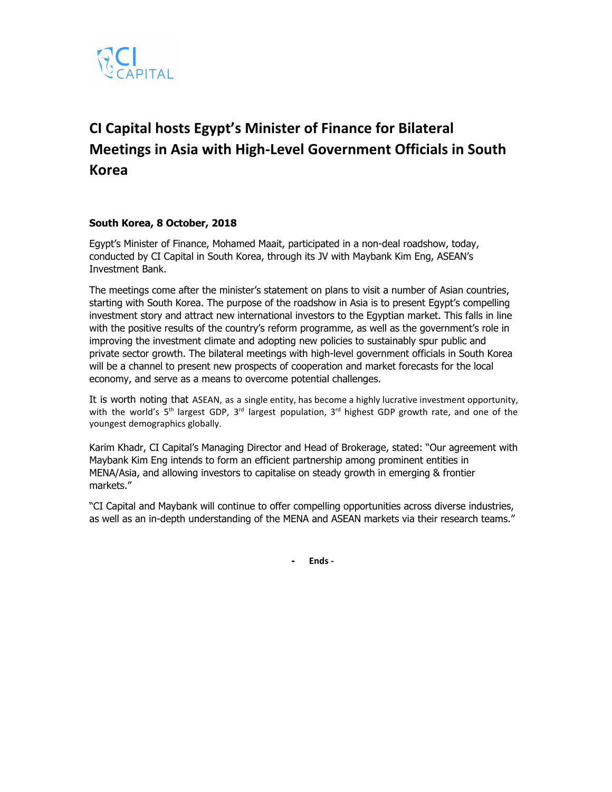

# **CI Capital hosts Egypt's Minister of Finance for Bilateral Meetings in Asia with High-Level Government Officials in South Korea**

## **South Korea, 8 October, 2018**

Egypt's Minister of Finance, Mohamed Maait, participated in a non-deal roadshow, today, conducted by CI Capital in South Korea, through its JV with Maybank Kim Eng, ASEAN's Investment Bank.

The meetings come after the minister's statement on plans to visit a number of Asian countries, starting with South Korea. The purpose of the roadshow in Asia is to present Egypt's compelling investment story and attract new international investors to the Egyptian market. This falls in line with the positive results of the country's reform programme, as well as the government's role in improving the investment climate and adopting new policies to sustainably spur public and private sector growth. The bilateral meetings with high-level government officials in South Korea will be a channel to present new prospects of cooperation and market forecasts for the local economy, and serve as a means to overcome potential challenges.

It is worth noting that ASEAN, as a single entity, has become a highly lucrative investment opportunity, with the world's  $5<sup>th</sup>$  largest GDP, 3<sup>rd</sup> largest population, 3<sup>rd</sup> highest GDP growth rate, and one of the youngest demographics globally.

Karim Khadr, CI Capital's Managing Director and Head of Brokerage, stated: "Our agreement with Maybank Kim Eng intends to form an efficient partnership among prominent entities in MENA/Asia, and allowing investors to capitalise on steady growth in emerging & frontier markets."

"CI Capital and Maybank will continue to offer compelling opportunities across diverse industries, as well as an in-depth understanding of the MENA and ASEAN markets via their research teams."

**- Ends -**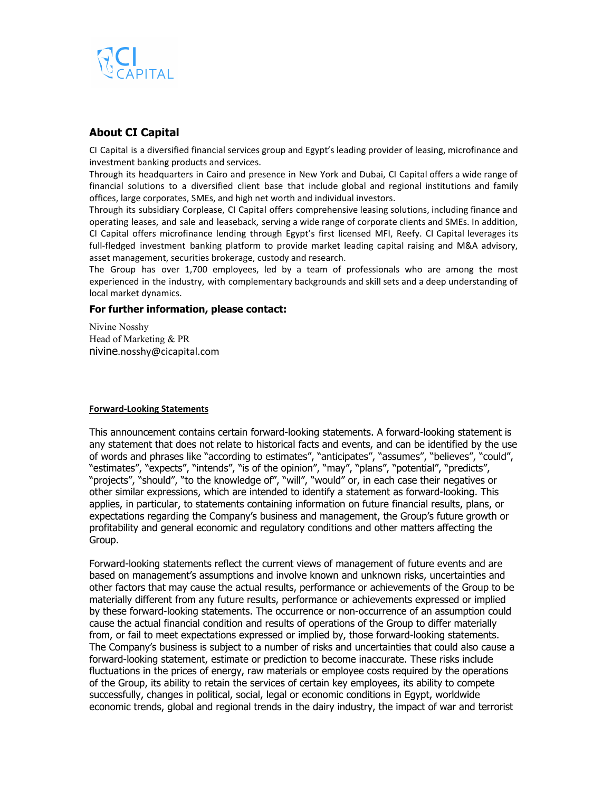

## **About CI Capital**

CI Capital is a diversified financial services group and Egypt's leading provider of leasing, microfinance and investment banking products and services.

Through its headquarters in Cairo and presence in New York and Dubai, CI Capital offers a wide range of financial solutions to a diversified client base that include global and regional institutions and family offices, large corporates, SMEs, and high net worth and individual investors.

Through its subsidiary Corplease, CI Capital offers comprehensive leasing solutions, including finance and operating leases, and sale and leaseback, serving a wide range of corporate clients and SMEs. In addition, CI Capital offers microfinance lending through Egypt's first licensed MFI, Reefy. CI Capital leverages its full-fledged investment banking platform to provide market leading capital raising and M&A advisory, asset management, securities brokerage, custody and research.

The Group has over 1,700 employees, led by a team of professionals who are among the most experienced in the industry, with complementary backgrounds and skill sets and a deep understanding of local market dynamics.

### **For further information, please contact:**

Nivine Nosshy Head of Marketing & PR nivine.nosshy@cicapital.com

#### **Forward-Looking Statements**

This announcement contains certain forward-looking statements. A forward-looking statement is any statement that does not relate to historical facts and events, and can be identified by the use of words and phrases like "according to estimates", "anticipates", "assumes", "believes", "could", "estimates", "expects", "intends", "is of the opinion", "may", "plans", "potential", "predicts", "projects", "should", "to the knowledge of", "will", "would" or, in each case their negatives or other similar expressions, which are intended to identify a statement as forward-looking. This applies, in particular, to statements containing information on future financial results, plans, or expectations regarding the Company's business and management, the Group's future growth or profitability and general economic and regulatory conditions and other matters affecting the Group.

Forward-looking statements reflect the current views of management of future events and are based on management's assumptions and involve known and unknown risks, uncertainties and other factors that may cause the actual results, performance or achievements of the Group to be materially different from any future results, performance or achievements expressed or implied by these forward-looking statements. The occurrence or non-occurrence of an assumption could cause the actual financial condition and results of operations of the Group to differ materially from, or fail to meet expectations expressed or implied by, those forward-looking statements. The Company's business is subject to a number of risks and uncertainties that could also cause a forward-looking statement, estimate or prediction to become inaccurate. These risks include fluctuations in the prices of energy, raw materials or employee costs required by the operations of the Group, its ability to retain the services of certain key employees, its ability to compete successfully, changes in political, social, legal or economic conditions in Egypt, worldwide economic trends, global and regional trends in the dairy industry, the impact of war and terrorist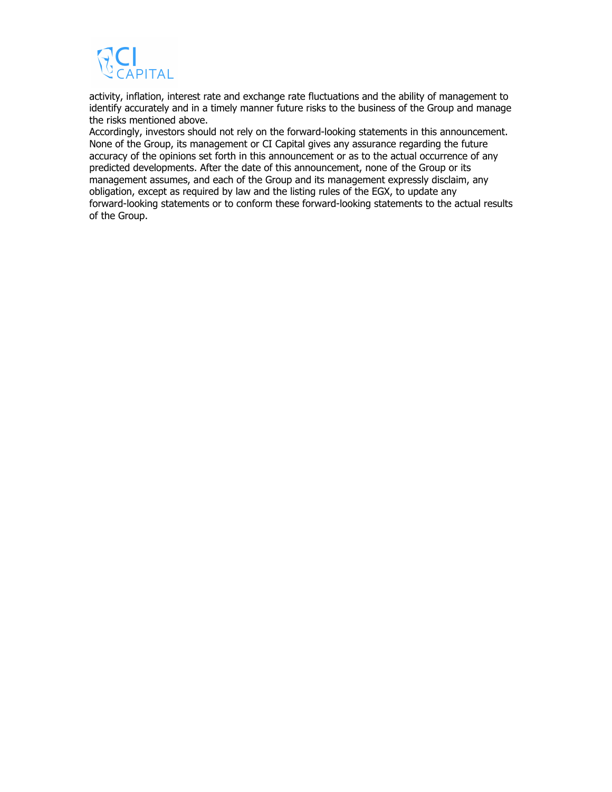

activity, inflation, interest rate and exchange rate fluctuations and the ability of management to identify accurately and in a timely manner future risks to the business of the Group and manage the risks mentioned above.

Accordingly, investors should not rely on the forward-looking statements in this announcement. None of the Group, its management or CI Capital gives any assurance regarding the future accuracy of the opinions set forth in this announcement or as to the actual occurrence of any predicted developments. After the date of this announcement, none of the Group or its management assumes, and each of the Group and its management expressly disclaim, any obligation, except as required by law and the listing rules of the EGX, to update any forward-looking statements or to conform these forward-looking statements to the actual results of the Group.